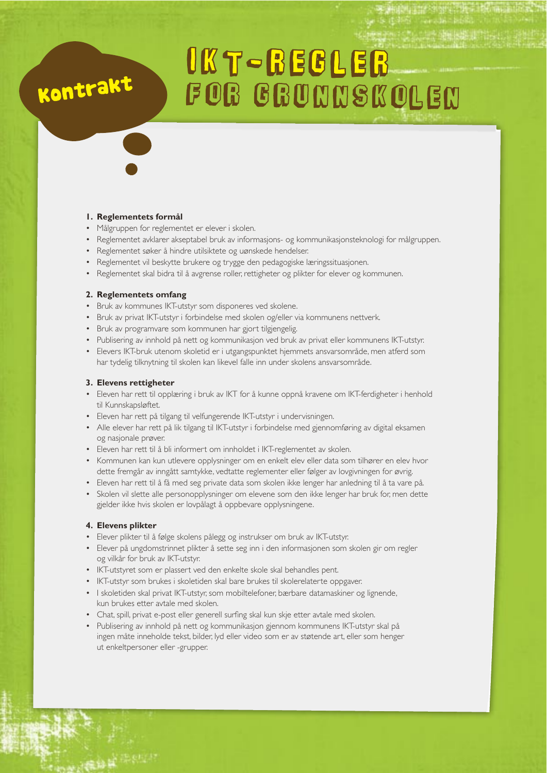# **UKT-REGLER** FOR GRUNNSKOLEN

## **1. Reglementets formål**

Kontrakt

- Målgruppen for reglementet er elever i skolen.
- Reglementet avklarer akseptabel bruk av informasjons- og kommunikasjonsteknologi for målgruppen.
- Reglementet søker å hindre utilsiktete og uønskede hendelser.
- Reglementet vil beskytte brukere og trygge den pedagogiske læringssituasjonen.
- Reglementet skal bidra til å avgrense roller, rettigheter og plikter for elever og kommunen.

## **2. Reglementets omfang**

- Bruk av kommunes IKT-utstyr som disponeres ved skolene.
- Bruk av privat IKT-utstyr i forbindelse med skolen og/eller via kommunens nettverk.
- · Bruk av programvare som kommunen har gjort tilgjengelig.
- Publisering av innhold på nett og kommunikasjon ved bruk av privat eller kommunens IKT-utstyr.
- Elevers IKT-bruk utenom skoletid er i utgangspunktet hjemmets ansvarsområde, men atferd som har tydelig tilknytning til skolen kan likevel falle inn under skolens ansvarsområde.

## **3. Elevens rettigheter**

- Eleven har rett til opplæring i bruk av IKT for å kunne oppnå kravene om IKT-ferdigheter i henhold til Kunnskapsløftet.
- Eleven har rett på tilgang til velfungerende IKT-utstyr i undervisningen.
- Alle elever har rett på lik tilgang til IKT-utstyr i forbindelse med gjennomføring av digital eksamen og nasjonale prøver.
- Eleven har rett til å bli informert om innholdet i IKT-reglementet av skolen.
- Kommunen kan kun utlevere opplysninger om en enkelt elev eller data som tilhører en elev hvor dette fremgår av inngått samtykke, vedtatte reglementer eller følger av lovgivningen for øvrig.
- Eleven har rett til å få med seg private data som skolen ikke lenger har anledning til å ta vare på.
- Skolen vil slette alle personopplysninger om elevene som den ikke lenger har bruk for, men dette gjelder ikke hvis skolen er lovpålagt å oppbevare opplysningene.

#### **4. Elevens plikter**

- Elever plikter til å følge skolens pålegg og instrukser om bruk av IKT-utstyr.
- Elever på ungdomstrinnet plikter å sette seg inn i den informasjonen som skolen gir om regler og vilkår for bruk av IKT-utstyr.
- IKT-utstyret som er plassert ved den enkelte skole skal behandles pent.
- IKT-utstyr som brukes i skoletiden skal bare brukes til skolerelaterte oppgaver.
- I skoletiden skal privat IKT-utstyr, som mobiltelefoner, bærbare datamaskiner og lignende, kun brukes etter avtale med skolen.
- Chat, spill, privat e-post eller generell surfing skal kun skje etter avtale med skolen.
- Publisering av innhold på nett og kommunikasjon gjennom kommunens IKT-utstyr skal på ingen måte inneholde tekst, bilder, lyd eller video som er av støtende art, eller som henger ut enkeltpersoner eller -grupper.